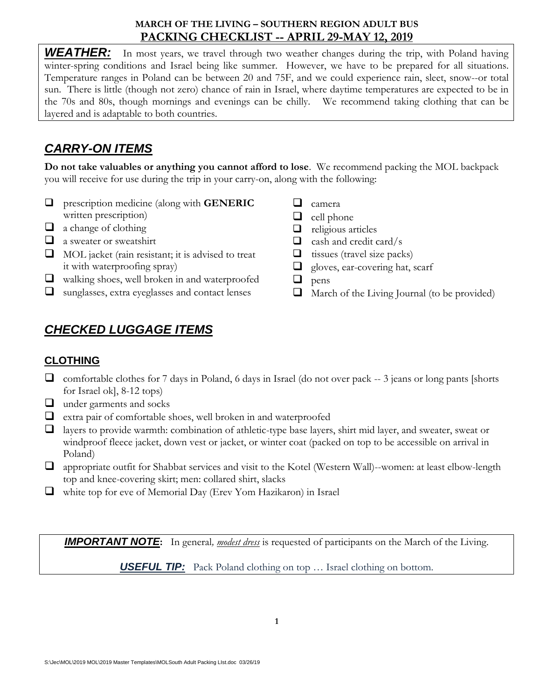### **MARCH OF THE LIVING – SOUTHERN REGION ADULT BUS PACKING CHECKLIST -- APRIL 29-MAY 12, 2019**

**WEATHER:** In most years, we travel through two weather changes during the trip, with Poland having winter-spring conditions and Israel being like summer. However, we have to be prepared for all situations. Temperature ranges in Poland can be between 20 and 75F, and we could experience rain, sleet, snow--or total sun. There is little (though not zero) chance of rain in Israel, where daytime temperatures are expected to be in the 70s and 80s, though mornings and evenings can be chilly. We recommend taking clothing that can be layered and is adaptable to both countries.

## *CARRY-ON ITEMS*

**Do not take valuables or anything you cannot afford to lose**. We recommend packing the MOL backpack you will receive for use during the trip in your carry-on, along with the following:

- prescription medicine (along with **GENERIC** written prescription)
- $\Box$  a change of clothing
- $\Box$  a sweater or sweatshirt
- $\Box$  MOL jacket (rain resistant; it is advised to treat it with waterproofing spray)
- walking shoes, well broken in and waterproofed
- sunglasses, extra eyeglasses and contact lenses
- $\Box$  camera
- $\Box$  cell phone
- $\Box$  religious articles
- $\Box$  cash and credit card/s
- $\Box$  tissues (travel size packs)
- **gloves, ear-covering hat, scarf**
- $\Box$  pens
- $\Box$  March of the Living Journal (to be provided)

# *CHECKED LUGGAGE ITEMS*

## **CLOTHING**

- $\Box$  comfortable clothes for 7 days in Poland, 6 days in Israel (do not over pack  $-3$  jeans or long pants [shorts] for Israel ok], 8-12 tops)
- $\Box$  under garments and socks
- $\Box$  extra pair of comfortable shoes, well broken in and waterproofed
- $\Box$  layers to provide warmth: combination of athletic-type base layers, shirt mid layer, and sweater, sweat or windproof fleece jacket, down vest or jacket, or winter coat (packed on top to be accessible on arrival in Poland)
- appropriate outfit for Shabbat services and visit to the Kotel (Western Wall)--women: at least elbow-length top and knee-covering skirt; men: collared shirt, slacks
- $\Box$  white top for eve of Memorial Day (Erev Yom Hazikaron) in Israel

*IMPORTANT NOTE***:** In general*, modest dress* is requested of participants on the March of the Living.

*USEFUL TIP:*Pack Poland clothing on top … Israel clothing on bottom.